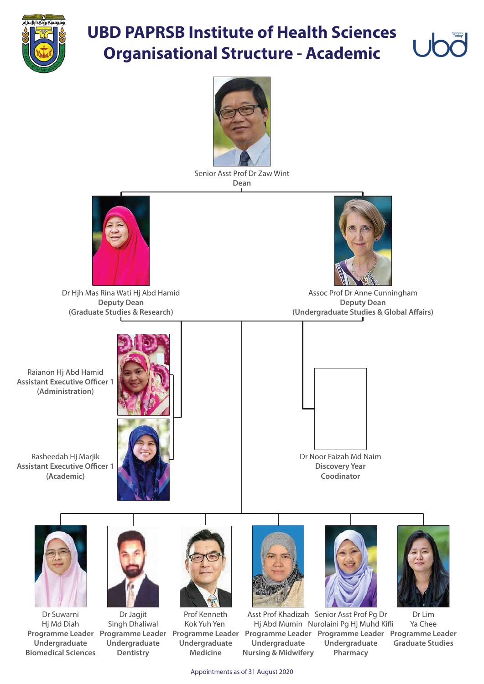

## **UBD PAPRSB Institute of Health Sciences Organisational Structure - Academic**



Appointments as of 31 August 2020

Raianon Hj Abd Hamid **Assistant Executive Officer 1 (Administration)**

Assoc Prof Dr Anne Cunningham **Deputy Dean (Undergraduate Studies & Global Affairs)** 

Rasheedah Hj Marjik **Assistant Executive Officer 1 (Academic)**



Senior Asst Prof Dr Zaw Wint **Dean**



Dr Hjh Mas Rina Wati Hj Abd Hamid **Deputy Dean (Graduate Studies & Research)**



Dr Lim Ya Chee **Programme Leader Programme Leader Programme Leader Programme Leader Programme Leader Programme Leader Graduate Studies** Asst Prof Khadizah Senior Asst Prof Pg Dr Hj Abd Mumin Nurolaini Pg Hj Muhd Kifli **Undergraduate Pharmacy Undergraduate Nursing & Midwifery**

Dr Jagjit Singh Dhaliwal **Undergraduate Dentistry**

Dr Suwarni Hj Md Diah **Undergraduate Biomedical Sciences**



**Discovery Year Coodinator**













Prof Kenneth Kok Yuh Yen **Undergraduate Medicine**